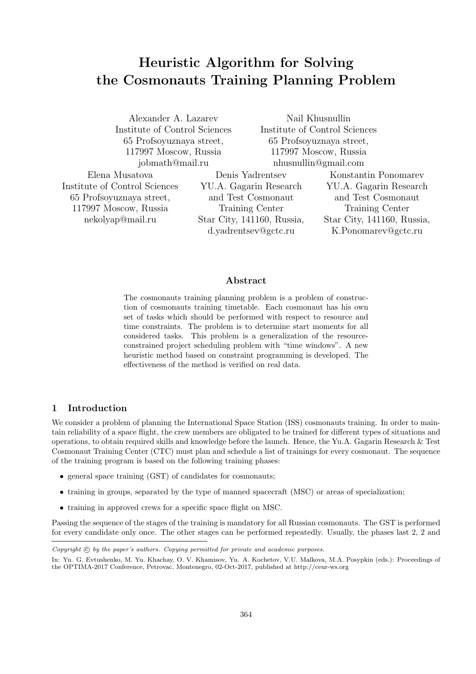# **Heuristic Algorithm for Solving the Cosmonauts Training Planning Problem**

Alexander A. Lazarev Institute of Control Sciences 65 Profsoyuznaya street, 117997 Moscow, Russia jobmath@mail.ru

Nail Khusnullin Institute of Control Sciences 65 Profsoyuznaya street, 117997 Moscow, Russia nhusnullin@gmail.com

Elena Musatova Institute of Control Sciences 65 Profsoyuznaya street, 117997 Moscow, Russia nekolyap@mail.ru

Denis Yadrentsev YU.A. Gagarin Research and Test Cosmonaut Training Center Star City, 141160, Russia, d.yadrentsev@gctc.ru

Konstantin Ponomarev YU.A. Gagarin Research and Test Cosmonaut Training Center Star City, 141160, Russia, K.Ponomarev@gctc.ru

#### **Abstract**

The cosmonauts training planning problem is a problem of construction of cosmonauts training timetable. Each cosmonaut has his own set of tasks which should be performed with respect to resource and time constraints. The problem is to determine start moments for all considered tasks. This problem is a generalization of the resourceconstrained project scheduling problem with "time windows". A new heuristic method based on constraint programming is developed. The effectiveness of the method is verified on real data.

# **1 Introduction**

We consider a problem of planning the International Space Station (ISS) cosmonauts training. In order to maintain reliability of a space flight, the crew members are obligated to be trained for different types of situations and operations, to obtain required skills and knowledge before the launch. Hence, the Yu.A. Gagarin Research & Test Cosmonaut Training Center (CTC) must plan and schedule a list of trainings for every cosmonaut. The sequence of the training program is based on the following training phases:

- general space training (GST) of candidates for cosmonauts;
- training in groups, separated by the type of manned spacecraft (MSC) or areas of specialization;
- training in approved crews for a specific space flight on MSC.

Passing the sequence of the stages of the training is mandatory for all Russian cosmonauts. The GST is performed for every candidate only once. The other stages can be performed repeatedly. Usually, the phases last 2, 2 and

*Copyright*  $\odot$  *by the paper's authors. Copying permitted for private and academic purposes.* 

In: Yu. G. Evtushenko, M. Yu. Khachay, O. V. Khamisov, Yu. A. Kochetov, V.U. Malkova, M.A. Posypkin (eds.): Proceedings of the OPTIMA-2017 Conference, Petrovac, Montenegro, 02-Oct-2017, published at http://ceur-ws.org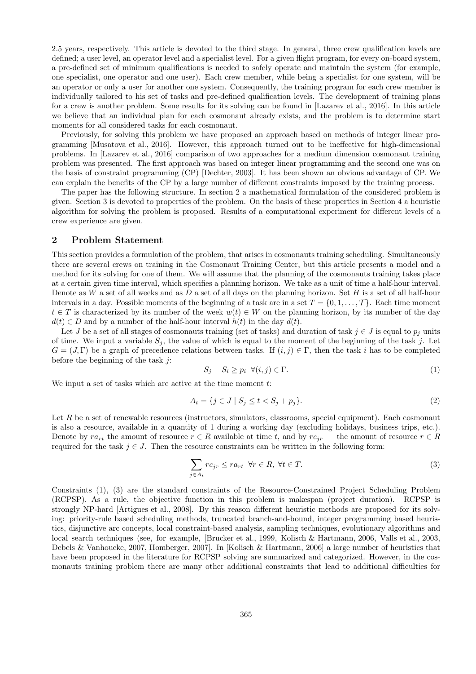2.5 years, respectively. This article is devoted to the third stage. In general, three crew qualification levels are defined; a user level, an operator level and a specialist level. For a given flight program, for every on-board system, a pre-defined set of minimum qualifications is needed to safely operate and maintain the system (for example, one specialist, one operator and one user). Each crew member, while being a specialist for one system, will be an operator or only a user for another one system. Consequently, the training program for each crew member is individually tailored to his set of tasks and pre-defined qualification levels. The development of training plans for a crew is another problem. Some results for its solving can be found in [Lazarev et al., 2016]. In this article we believe that an individual plan for each cosmonaut already exists, and the problem is to determine start moments for all considered tasks for each cosmonaut.

Previously, for solving this problem we have proposed an approach based on methods of integer linear programming [Musatova et al., 2016]. However, this approach turned out to be ineffective for high-dimensional problems. In [Lazarev et al., 2016] comparison of two approaches for a medium dimension cosmonaut training problem was presented. The first approach was based on integer linear programming and the second one was on the basis of constraint programming (CP) [Dechter, 2003]. It has been shown an obvious advantage of CP. We can explain the benefits of the CP by a large number of different constraints imposed by the training process.

The paper has the following structure. In section 2 a mathematical formulation of the considered problem is given. Section 3 is devoted to properties of the problem. On the basis of these properties in Section 4 a heuristic algorithm for solving the problem is proposed. Results of a computational experiment for different levels of a crew experience are given.

# **2 Problem Statement**

This section provides a formulation of the problem, that arises in cosmonauts training scheduling. Simultaneously there are several crews on training in the Cosmonaut Training Center, but this article presents a model and a method for its solving for one of them. We will assume that the planning of the cosmonauts training takes place at a certain given time interval, which specifies a planning horizon. We take as a unit of time a half-hour interval. Denote as *W* a set of all weeks and as *D* a set of all days on the planning horizon. Set *H* is a set of all half-hour intervals in a day. Possible moments of the beginning of a task are in a set  $T = \{0, 1, \ldots, T\}$ . Each time moment *t*  $∈$  *T* is characterized by its number of the week  $w(t) ∈ W$  on the planning horizon, by its number of the day  $d(t) \in D$  and by a number of the half-hour interval  $h(t)$  in the day  $d(t)$ .

Let *J* be a set of all stages of cosmonauts training (set of tasks) and duration of task  $j \in J$  is equal to  $p_j$  units of time. We input a variable  $S_j$ , the value of which is equal to the moment of the beginning of the task  $j$ . Let  $G = (J,\Gamma)$  be a graph of precedence relations between tasks. If  $(i,j) \in \Gamma$ , then the task *i* has to be completed before the beginning of the task *j*:

$$
S_j - S_i \ge p_i \ \forall (i, j) \in \Gamma. \tag{1}
$$

We input a set of tasks which are active at the time moment *t*:

$$
A_t = \{ j \in J \mid S_j \le t < S_j + p_j \}. \tag{2}
$$

Let R be a set of renewable resources (instructors, simulators, classrooms, special equipment). Each cosmonaut is also a resource, available in a quantity of 1 during a working day (excluding holidays, business trips, etc.). Denote by  $ra_{rt}$  the amount of resource  $r \in R$  available at time t, and by  $rc_{ir}$  — the amount of resource  $r \in R$ required for the task  $j \in J$ . Then the resource constraints can be written in the following form:

$$
\sum_{j \in A_t} rc_{jr} \leq ra_{rt} \ \forall r \in R, \ \forall t \in T.
$$
\n(3)

Constraints (1), (3) are the standard constraints of the Resource-Constrained Project Scheduling Problem (RCPSP). As a rule, the objective function in this problem is makespan (project duration). RCPSP is strongly NP-hard [Artigues et al., 2008]. By this reason different heuristic methods are proposed for its solving: priority-rule based scheduling methods, truncated branch-and-bound, integer programming based heuristics, disjunctive arc concepts, local constraint-based analysis, sampling techniques, evolutionary algorithms and local search techniques (see, for example, [Brucker et al., 1999, Kolisch & Hartmann, 2006, Valls et al., 2003, Debels & Vanhoucke, 2007, Homberger, 2007]. In [Kolisch & Hartmann, 2006] a large number of heuristics that have been proposed in the literature for RCPSP solving are summarized and categorized. However, in the cosmonauts training problem there are many other additional constraints that lead to additional difficulties for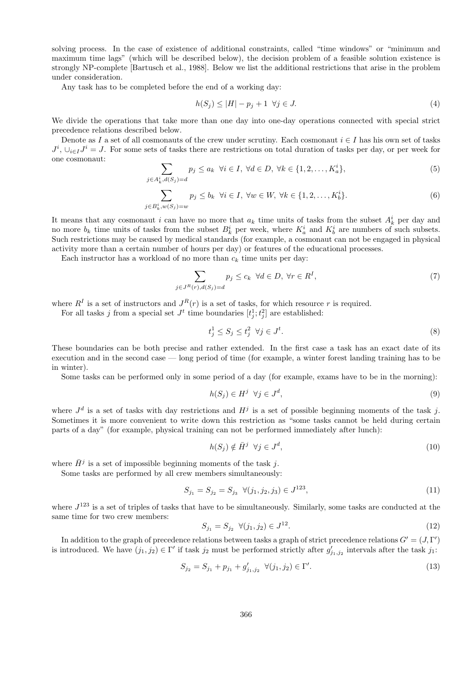solving process. In the case of existence of additional constraints, called "time windows" or "minimum and maximum time lags" (which will be described below), the decision problem of a feasible solution existence is strongly NP-complete [Bartusch et al., 1988]. Below we list the additional restrictions that arise in the problem under consideration.

Any task has to be completed before the end of a working day:

$$
h(S_j) \le |H| - p_j + 1 \quad \forall j \in J. \tag{4}
$$

We divide the operations that take more than one day into one-day operations connected with special strict precedence relations described below.

Denote as *I* a set of all cosmonauts of the crew under scrutiny. Each cosmonaut  $i \in I$  has his own set of tasks  $J^i$ ,  $\cup_{i \in I} J^i = J$ . For some sets of tasks there are restrictions on total duration of tasks per day, or per week for one cosmonaut:

$$
\sum_{j\in A_k^i, d(S_j)=d} p_j \le a_k \quad \forall i\in I, \ \forall d\in D, \ \forall k\in \{1,2,\ldots,K_a^i\},\tag{5}
$$

$$
\sum_{j \in B_k^i, w(S_j) = w} p_j \le b_k \quad \forall i \in I, \ \forall w \in W, \ \forall k \in \{1, 2, \dots, K_b^i\}.
$$
 (6)

It means that any cosmonaut *i* can have no more that  $a_k$  time units of tasks from the subset  $A_k^i$  per day and no more  $b_k$  time units of tasks from the subset  $B_k^i$  per week, where  $K_a^i$  and  $K_b^i$  are numbers of such subsets. Such restrictions may be caused by medical standards (for example, a cosmonaut can not be engaged in physical activity more than a certain number of hours per day) or features of the educational processes.

Each instructor has a workload of no more than  $c_k$  time units per day:

$$
\sum_{j \in J^R(r), d(S_j) = d} p_j \le c_k \ \forall d \in D, \ \forall r \in R^I,
$$
\n
$$
(7)
$$

where  $R^I$  is a set of instructors and  $J^R(r)$  is a set of tasks, for which resource r is required.

For all tasks *j* from a special set  $J^t$  time boundaries  $[t_j^1; t_j^2]$  are established:

$$
t_j^1 \le S_j \le t_j^2 \ \forall j \in J^t. \tag{8}
$$

These boundaries can be both precise and rather extended. In the first case a task has an exact date of its execution and in the second case — long period of time (for example, a winter forest landing training has to be in winter).

Some tasks can be performed only in some period of a day (for example, exams have to be in the morning):

$$
h(S_j) \in H^j \ \forall j \in J^d,\tag{9}
$$

where  $J^d$  is a set of tasks with day restrictions and  $H^j$  is a set of possible beginning moments of the task j. Sometimes it is more convenient to write down this restriction as "some tasks cannot be held during certain parts of a day" (for example, physical training can not be performed immediately after lunch):

$$
h(S_j) \notin \bar{H}^j \quad \forall j \in J^d,\tag{10}
$$

where  $\bar{H}^j$  is a set of impossible beginning moments of the task *j*.

Some tasks are performed by all crew members simultaneously:

$$
S_{j_1} = S_{j_2} = S_{j_3} \ \ \forall (j_1, j_2, j_3) \in J^{123},\tag{11}
$$

where  $J^{123}$  is a set of triples of tasks that have to be simultaneously. Similarly, some tasks are conducted at the same time for two crew members:

$$
S_{j_1} = S_{j_2} \quad \forall (j_1, j_2) \in J^{12}.
$$
\n
$$
(12)
$$

In addition to the graph of precedence relations between tasks a graph of strict precedence relations  $G' = (J, \Gamma')$ is introduced. We have  $(j_1, j_2) \in \Gamma'$  if task  $j_2$  must be performed strictly after  $g'_{j_1, j_2}$  intervals after the task  $j_1$ :

$$
S_{j_2} = S_{j_1} + p_{j_1} + g'_{j_1, j_2} \ \ \forall (j_1, j_2) \in \Gamma'. \tag{13}
$$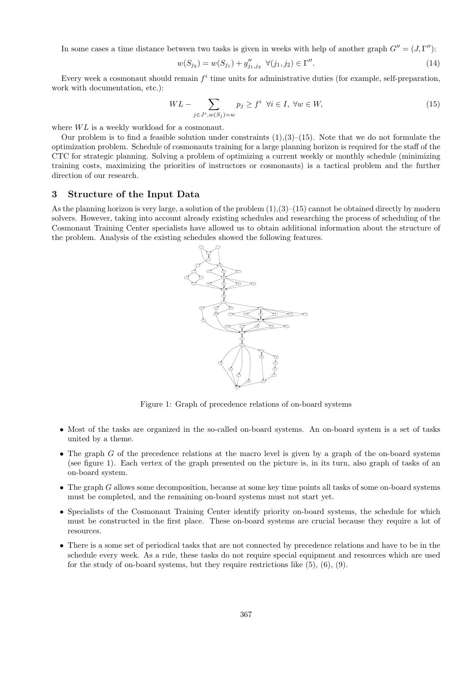In some cases a time distance between two tasks is given in weeks with help of another graph  $G'' = (J, \Gamma'')$ :

$$
w(S_{j_2}) = w(S_{j_1}) + g''_{j_1, j_2} \quad \forall (j_1, j_2) \in \Gamma''.
$$
\n(14)

Every week a cosmonaut should remain  $f^i$  time units for administrative duties (for example, self-preparation, work with documentation, etc.):

$$
WL - \sum_{j \in J^i, w(S_j) = w} p_j \ge f^i \quad \forall i \in I, \ \forall w \in W,\tag{15}
$$

where  $WL$  is a weekly workload for a cosmonaut.

Our problem is to find a feasible solution under constraints  $(1),(3)-(15)$ . Note that we do not formulate the optimization problem. Schedule of cosmonauts training for a large planning horizon is required for the staff of the CTC for strategic planning. Solving a problem of optimizing a current weekly or monthly schedule (minimizing training costs, maximizing the priorities of instructors or cosmonauts) is a tactical problem and the further direction of our research.

### **3 Structure of the Input Data**

As the planning horizon is very large, a solution of the problem  $(1)(3)-(15)$  cannot be obtained directly by modern solvers. However, taking into account already existing schedules and researching the process of scheduling of the Cosmonaut Training Center specialists have allowed us to obtain additional information about the structure of the problem. Analysis of the existing schedules showed the following features.



Figure 1: Graph of precedence relations of on-board systems

- Most of the tasks are organized in the so-called on-board systems. An on-board system is a set of tasks united by a theme.
- The graph *G* of the precedence relations at the macro level is given by a graph of the on-board systems (see figure 1). Each vertex of the graph presented on the picture is, in its turn, also graph of tasks of an on-board system.
- The graph *G* allows some decomposition, because at some key time points all tasks of some on-board systems must be completed, and the remaining on-board systems must not start yet.
- Specialists of the Cosmonaut Training Center identify priority on-board systems, the schedule for which must be constructed in the first place. These on-board systems are crucial because they require a lot of resources.
- There is a some set of periodical tasks that are not connected by precedence relations and have to be in the schedule every week. As a rule, these tasks do not require special equipment and resources which are used for the study of on-board systems, but they require restrictions like (5), (6), (9).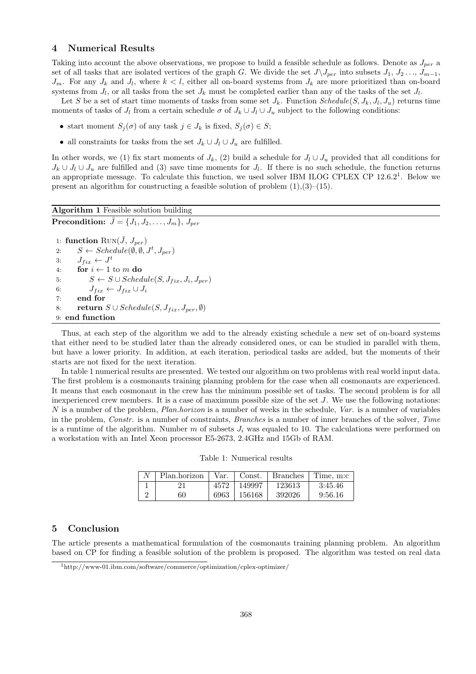# **4 Numerical Results**

Taking into account the above observations, we propose to build a feasible schedule as follows. Denote as *Jper* a set of all tasks that are isolated vertices of the graph *G*. We divide the set  $J\setminus J_{per}$  into subsets  $J_1, J_2, \ldots, J_{m-1}$ ,  $J_m$ . For any  $J_k$  and  $J_l$ , where  $k < l$ , either all on-board systems from  $J_k$  are more prioritized than on-board systems from  $J_l$ , or all tasks from the set  $J_k$  must be completed earlier than any of the tasks of the set  $J_l$ .

Let *S* be a set of start time moments of tasks from some set  $J_k$ . Function  $Scheduling(S, J_k, J_l, J_u)$  returns time moments of tasks of  $J_l$  from a certain schedule  $\sigma$  of  $J_k \cup J_l \cup J_u$  subject to the following conditions:

- *•* start moment *S<sup>j</sup>* (*σ*) of any task *j ∈ J<sup>k</sup>* is fixed, *S<sup>j</sup>* (*σ*) *∈ S*;
- all constraints for tasks from the set  $J_k \cup J_l \cup J_u$  are fulfilled.

In other words, we (1) fix start moments of  $J_k$ , (2) build a schedule for  $J_l \cup J_u$  provided that all conditions for  $J_k \cup J_l \cup J_u$  are fulfilled and (3) save time moments for  $J_l$ . If there is no such schedule, the function returns an appropriate message. To calculate this function, we used solver IBM ILOG CPLEX CP  $12.6.2<sup>1</sup>$ . Below we present an algorithm for constructing a feasible solution of problem  $(1),(3)-(15)$ .

# **Algorithm 1** Feasible solution building

```
Precondition: \bar{J} = \{J_1, J_2, \ldots, J_m\}, J_{per}
```

```
1: function \text{Run}(\bar{J}, J_{per})2: S \leftarrow Schedule(\emptyset, \emptyset, J^t, J_{per})3: J_{fix} \leftarrow J^t4: for i \leftarrow 1 to m do
5: S \leftarrow S \cup Schedule(S, J_{fix}, J_i, J_{per})6: J_{fix} \leftarrow J_{fix} \cup J_i7: end for
8: return S \cup Schedule(S, J_{fix}, J_{per}, \emptyset)9: end function
```
Thus, at each step of the algorithm we add to the already existing schedule a new set of on-board systems that either need to be studied later than the already considered ones, or can be studied in parallel with them, but have a lower priority. In addition, at each iteration, periodical tasks are added, but the moments of their starts are not fixed for the next iteration.

In table 1 numerical results are presented. We tested our algorithm on two problems with real world input data. The first problem is a cosmonauts training planning problem for the case when all cosmonauts are experienced. It means that each cosmonaut in the crew has the minimum possible set of tasks. The second problem is for all inexperienced crew members. It is a case of maximum possible size of the set *J*. We use the following notations: *N* is a number of the problem, *Plan.horizon* is a number of weeks in the schedule, *Var.* is a number of variables in the problem, *Constr.* is a number of constraints, *Branches* is a number of inner branches of the solver, *Time* is a runtime of the algorithm. Number  $m$  of subsets  $J_i$  was equaled to 10. The calculations were performed on a workstation with an Intel Xeon processor E5-2673, 2.4GHz and 15Gb of RAM.

Table 1: Numerical results

| Plan.horizon | Var. | Const. | <b>Branches</b> | Time, m:c |
|--------------|------|--------|-----------------|-----------|
|              | 4572 | 149997 | 123613          | 3:45.46   |
| 60           | 6963 | 156168 | 392026          | 9:56.16   |

#### **5 Conclusion**

The article presents a mathematical formulation of the cosmonauts training planning problem. An algorithm based on CP for finding a feasible solution of the problem is proposed. The algorithm was tested on real data

<sup>1</sup>http://www-01.ibm.com/software/commerce/optimization/cplex-optimizer/